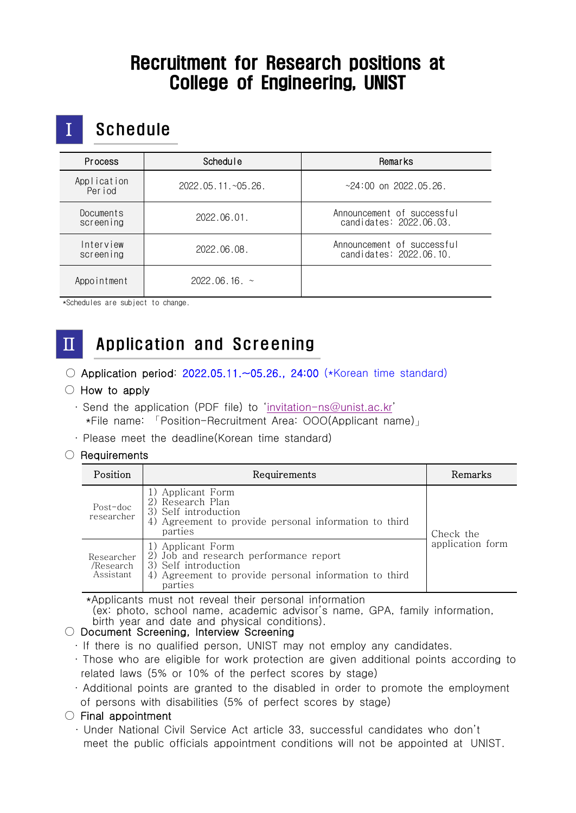## Recruitment for Research positions at College of Engineering, UNIST

## **Schedule**

| <b>Process</b>         | <b>Schedule</b>    | Remarks                                               |
|------------------------|--------------------|-------------------------------------------------------|
| Application<br>Period  | 2022.05.11.~05.26. | $~24:00$ on 2022.05.26.                               |
| Documents<br>screening | 2022.06.01.        | Announcement of successful<br>candidates: 2022.06.03. |
| Interview<br>screening | 2022.06.08.        | Announcement of successful<br>candidates: 2022.06.10. |
| Appointment            | 2022.06.16.~       |                                                       |

\*Schedules are subject to change.

## Ⅱ Application and Screening

○ Application period: 2022.05.11.~05.26., 24:00 (\*Korean time standard)

#### $\circlearrowright$  How to apply

- ∙ Send the application (PDF file) to '[invitation-ns@unist.ac.kr](mailto:invitation-ns@unist.ac.kr)' \*File name: 「Position-Recruitment Area: OOO(Applicant name)」
- ∙ Please meet the deadline(Korean time standard)

#### ○ Requirements

| Position                             | Requirements                                                                                                                                               | Remarks                       |  |
|--------------------------------------|------------------------------------------------------------------------------------------------------------------------------------------------------------|-------------------------------|--|
| Post-doc<br>researcher               | 1) Applicant Form<br>2) Research Plan<br>3) Self introduction<br>4) Agreement to provide personal information to third<br>parties                          | Check the<br>application form |  |
| Researcher<br>/Research<br>Assistant | 1) Applicant Form<br>2) Job and research performance report<br>3) Self introduction<br>Agreement to provide personal information to third<br>4)<br>parties |                               |  |

\*Applicants must not reveal their personal information

 (ex: photo, school name, academic advisor's name, GPA, family information, birth year and date and physical conditions).

### ○ Document Screening, Interview Screening

- ∙ If there is no qualified person, UNIST may not employ any candidates.
- ∙ Those who are eligible for work protection are given additional points according to related laws (5% or 10% of the perfect scores by stage)
- ∙ Additional points are granted to the disabled in order to promote the employment of persons with disabilities (5% of perfect scores by stage)

### $\circ$  Final appointment

∙ Under National Civil Service Act article 33, successful candidates who don't meet the public officials appointment conditions will not be appointed at UNIST.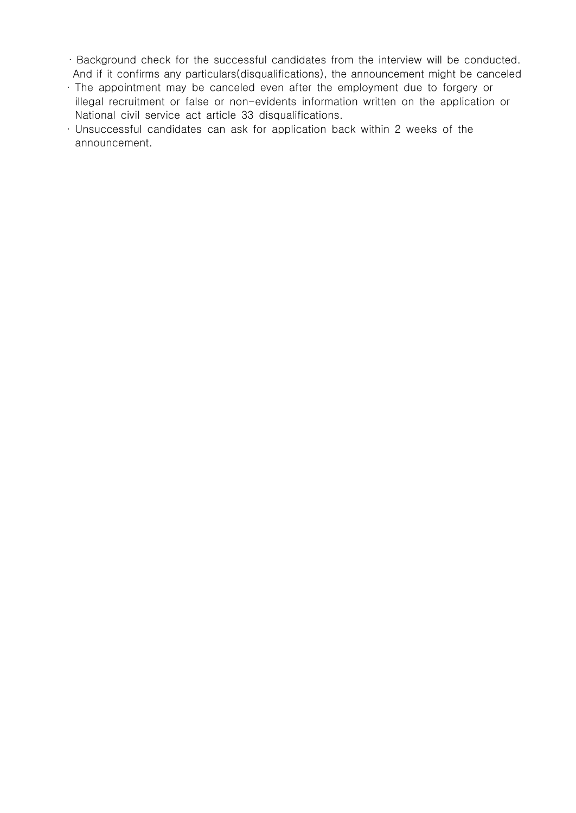- ∙ Background check for the successful candidates from the interview will be conducted. And if it confirms any particulars(disqualifications), the announcement might be canceled
- ∙ The appointment may be canceled even after the employment due to forgery or illegal recruitment or false or non-evidents information written on the application or National civil service act article 33 disqualifications.
- ∙ Unsuccessful candidates can ask for application back within 2 weeks of the announcement.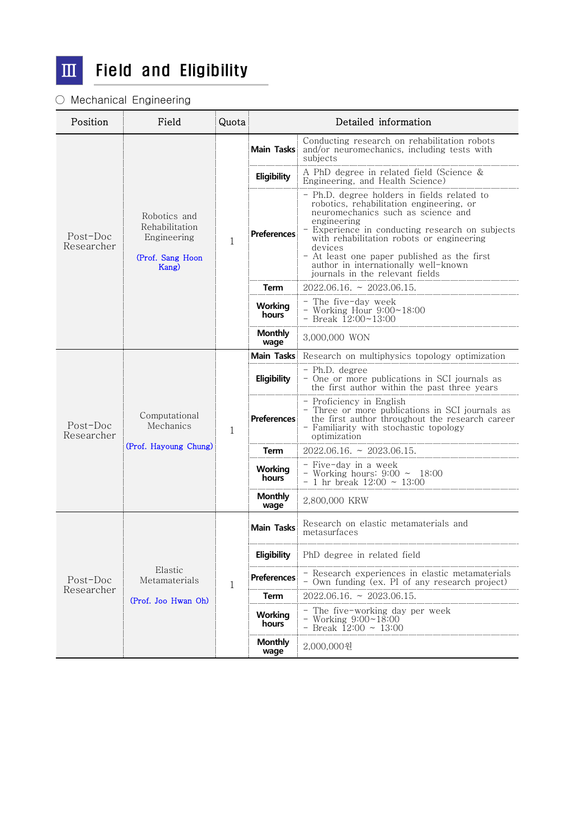

## $\overline{III}$  Field and Eligibility

### ○ Mechanical Engineering

| Position                 | Field                                                                      | Quota | Detailed information    |                                                                                                                                                                                                                                                                                                                                                                                   |
|--------------------------|----------------------------------------------------------------------------|-------|-------------------------|-----------------------------------------------------------------------------------------------------------------------------------------------------------------------------------------------------------------------------------------------------------------------------------------------------------------------------------------------------------------------------------|
| Post-Doc<br>Researcher   | Robotics and<br>Rehabilitation<br>Engineering<br>(Prof. Sang Hoon<br>Kang) | 1     | <b>Main Tasks</b>       | Conducting research on rehabilitation robots<br>and/or neuromechanics, including tests with<br>subjects                                                                                                                                                                                                                                                                           |
|                          |                                                                            |       | Eligibility             | A PhD degree in related field (Science &<br>Engineering, and Health Science)                                                                                                                                                                                                                                                                                                      |
|                          |                                                                            |       | <b>Preferences</b>      | - Ph.D. degree holders in fields related to<br>robotics, rehabilitation engineering, or<br>neuromechanics such as science and<br>engineering<br>- Experience in conducting research on subjects<br>with rehabilitation robots or engineering<br>devices<br>- At least one paper published as the first<br>author in internationally well-known<br>journals in the relevant fields |
|                          |                                                                            |       | Term                    | $2022.06.16. \approx 2023.06.15.$                                                                                                                                                                                                                                                                                                                                                 |
|                          |                                                                            |       | Working<br>hours        | - The five-day week<br>- Working Hour $9:00 \sim 18:00$<br>- Break $12:00 \sim 13:00$                                                                                                                                                                                                                                                                                             |
|                          |                                                                            |       | <b>Monthly</b><br>wage  | 3,000,000 WON                                                                                                                                                                                                                                                                                                                                                                     |
| $Post-Doc$<br>Researcher | Computational<br>Mechanics<br>(Prof. Hayoung Chung)                        |       |                         | Main Tasks: Research on multiphysics topology optimization                                                                                                                                                                                                                                                                                                                        |
|                          |                                                                            |       | Eligibility             | - Ph.D. degree<br>- One or more publications in SCI journals as<br>the first author within the past three years                                                                                                                                                                                                                                                                   |
|                          |                                                                            | 1     | <b>Preferences</b>      | - Proficiency in English<br>- Three or more publications in SCI journals as<br>the first author throughout the research career<br>- Familiarity with stochastic topology<br>optimization                                                                                                                                                                                          |
|                          |                                                                            |       | Term                    | $2022.06.16. \approx 2023.06.15.$                                                                                                                                                                                                                                                                                                                                                 |
|                          |                                                                            |       | Working<br>hours        | - Five-day in a week<br>- Working hours: $9:00 \sim 18:00$<br>- 1 hr break $12:00 \sim 13:00$                                                                                                                                                                                                                                                                                     |
|                          |                                                                            |       | <b>Monthly</b><br>wage  | 2,800,000 KRW                                                                                                                                                                                                                                                                                                                                                                     |
| Post-Doc<br>Researcher   | Elastic<br>Metamaterials<br>(Prof. Joo Hwan Oh)                            | 1     | Main Tasks              | Research on elastic metamaterials and<br>metasurfaces                                                                                                                                                                                                                                                                                                                             |
|                          |                                                                            |       | Eligibility             | PhD degree in related field                                                                                                                                                                                                                                                                                                                                                       |
|                          |                                                                            |       | Preferences             | - Research experiences in elastic metamaterials<br>- Own funding (ex. PI of any research project)                                                                                                                                                                                                                                                                                 |
|                          |                                                                            |       | <b>Term</b>             | $2022.06.16. \sim 2023.06.15.$                                                                                                                                                                                                                                                                                                                                                    |
|                          |                                                                            |       | <b>Working</b><br>hours | - The five-working day per week<br>- Working $9:00 \sim 18:00$<br>- Break $12:00 \sim 13:00$                                                                                                                                                                                                                                                                                      |
|                          |                                                                            |       | <b>Monthly</b><br>wage  | 2,000,000원                                                                                                                                                                                                                                                                                                                                                                        |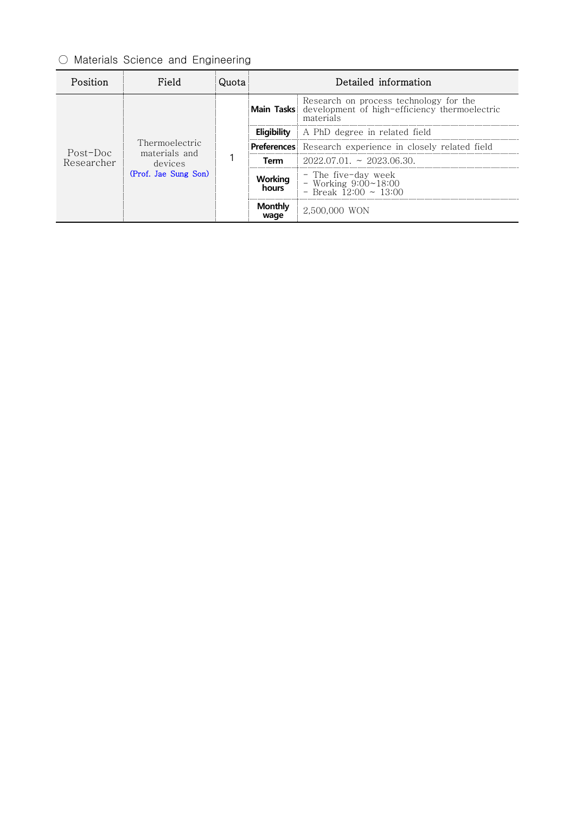## ○ Materials Science and Engineering

| Position               | Field                                                              | 11∩†a | Detailed information |                                                                                                                 |
|------------------------|--------------------------------------------------------------------|-------|----------------------|-----------------------------------------------------------------------------------------------------------------|
| Post-Doc<br>Researcher | Thermoelectric<br>materials and<br>devices<br>(Prof. Jae Sung Son) |       |                      | Research on process technology for the<br>Main Tasks development of high-efficiency thermoelectric<br>materials |
|                        |                                                                    |       | Eliaibility          | A PhD degree in related field                                                                                   |
|                        |                                                                    |       |                      | Preferences Research experience in closely related field                                                        |
|                        |                                                                    |       | Term                 | $2022.07.01 \approx 2023.06.30$                                                                                 |
|                        |                                                                    |       | Working<br>hours     | - The five-day week<br>$\sim$ Working 9:00~18:00<br>- Break $12:00 \approx 13:00$                               |
|                        |                                                                    |       | Monthly<br>wage      | 2,500,000 WON                                                                                                   |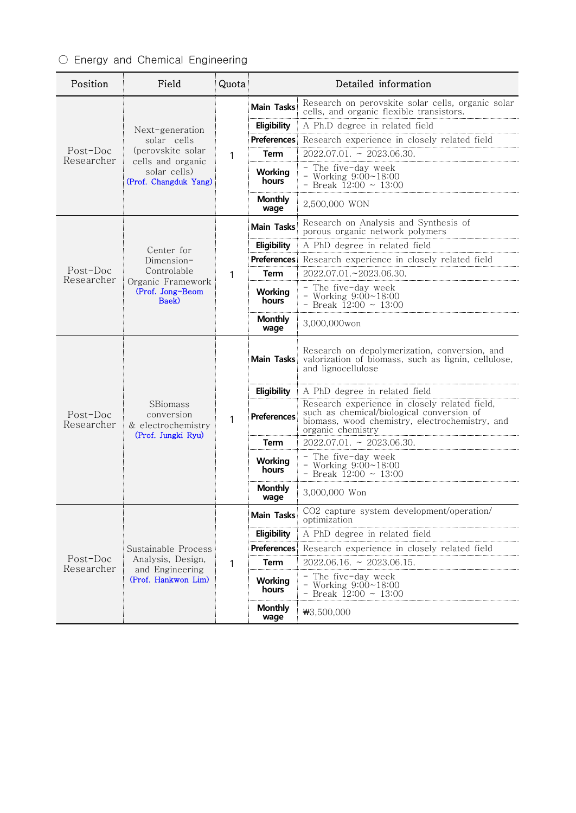## ○ Energy and Chemical Engineering

| Position               | Field                                                                                                             | Quota | Detailed information    |                                                                                                                                                                   |  |
|------------------------|-------------------------------------------------------------------------------------------------------------------|-------|-------------------------|-------------------------------------------------------------------------------------------------------------------------------------------------------------------|--|
|                        | Next-generation<br>solar cells<br>(perovskite solar<br>cells and organic<br>solar cells)<br>(Prof. Changduk Yang) |       | <b>Main Tasks</b>       | Research on perovskite solar cells, organic solar<br>cells, and organic flexible transistors.                                                                     |  |
|                        |                                                                                                                   |       | Eligibility             | A Ph.D degree in related field                                                                                                                                    |  |
|                        |                                                                                                                   |       |                         | Preferences Research experience in closely related field                                                                                                          |  |
| Post-Doc<br>Researcher |                                                                                                                   | 1     | <b>Term</b>             | $2022.07.01. \sim 2023.06.30.$                                                                                                                                    |  |
|                        |                                                                                                                   |       | Working<br>hours        | - The five-day week<br>- Working $9:00 \sim 18:00$<br>- Break $12:00 \sim 13:00$                                                                                  |  |
|                        |                                                                                                                   |       | <b>Monthly</b><br>wage  | 2,500,000 WON                                                                                                                                                     |  |
|                        | Center for                                                                                                        | 1     | <b>Main Tasks</b>       | Research on Analysis and Synthesis of<br>porous organic network polymers                                                                                          |  |
|                        |                                                                                                                   |       | Eligibility             | A PhD degree in related field                                                                                                                                     |  |
|                        | Dimension-                                                                                                        |       |                         | Preferences Research experience in closely related field                                                                                                          |  |
| Post-Doc               | Controlable                                                                                                       |       | Term                    | 2022.07.01.~2023.06.30.                                                                                                                                           |  |
| Researcher             | Organic Framework<br>(Prof. Jong-Beom<br>Baek)                                                                    |       | Working<br>hours        | - The five-day week<br>- Working $9:00 \sim 18:00$<br>- Break $12:00 \sim 13:00$                                                                                  |  |
|                        |                                                                                                                   |       | <b>Monthly</b><br>wage  | 3,000,000won                                                                                                                                                      |  |
|                        | SBiomass<br>conversion<br>& electrochemistry<br>(Prof. Jungki Ryu)                                                | 1     | Main Tasks              | Research on depolymerization, conversion, and<br>valorization of biomass, such as lignin, cellulose,<br>and lignocellulose                                        |  |
|                        |                                                                                                                   |       | Eligibility             | A PhD degree in related field                                                                                                                                     |  |
| Post-Doc<br>Researcher |                                                                                                                   |       | <b>Preferences</b>      | Research experience in closely related field,<br>such as chemical/biological conversion of<br>biomass, wood chemistry, electrochemistry, and<br>organic chemistry |  |
|                        |                                                                                                                   |       | Term                    | $2022.07.01. \approx 2023.06.30.$                                                                                                                                 |  |
|                        |                                                                                                                   |       | Working<br>hours        | - The five-day week<br>- Working $9:00 \sim 18:00$<br>- Break $12:00 \sim 13:00$                                                                                  |  |
|                        |                                                                                                                   |       | <b>Monthly</b><br>wage  | 3,000,000 Won                                                                                                                                                     |  |
| Post-Doc<br>Researcher | Sustainable Process<br>Analysis, Design,<br>and Engineering<br>(Prof. Hankwon Lim)                                | 1     | <b>Main Tasks</b>       | CO2 capture system development/operation/<br>optimization                                                                                                         |  |
|                        |                                                                                                                   |       | Eligibility             | A PhD degree in related field                                                                                                                                     |  |
|                        |                                                                                                                   |       | <b>Preferences</b>      | Research experience in closely related field                                                                                                                      |  |
|                        |                                                                                                                   |       | <b>Term</b>             | $2022.06.16. \sim 2023.06.15.$                                                                                                                                    |  |
|                        |                                                                                                                   |       | <b>Working</b><br>hours | - The five-day week<br>- Working $9:00 \sim 18:00$<br>- Break $12:00 \sim 13:00$                                                                                  |  |
|                        |                                                                                                                   |       | <b>Monthly</b><br>wage  | ₩3,500,000                                                                                                                                                        |  |